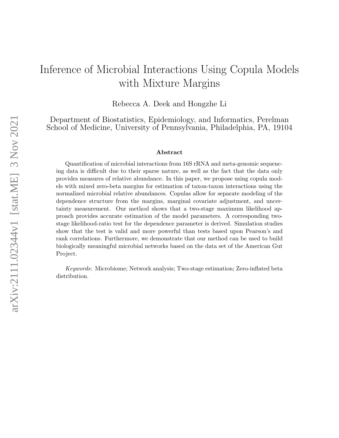# Inference of Microbial Interactions Using Copula Models with Mixture Margins

Rebecca A. Deek and Hongzhe Li

Department of Biostatistics, Epidemiology, and Informatics, Perelman School of Medicine, University of Pennsylvania, Philadelphia, PA, 19104

#### Abstract

Quantification of microbial interactions from 16S rRNA and meta-genomic sequencing data is difficult due to their sparse nature, as well as the fact that the data only provides measures of relative abundance. In this paper, we propose using copula models with mixed zero-beta margins for estimation of taxon-taxon interactions using the normalized microbial relative abundances. Copulas allow for separate modeling of the dependence structure from the margins, marginal covariate adjustment, and uncertainty measurement. Our method shows that a two-stage maximum likelihood approach provides accurate estimation of the model parameters. A corresponding twostage likelihood-ratio test for the dependence parameter is derived. Simulation studies show that the test is valid and more powerful than tests based upon Pearson's and rank correlations. Furthermore, we demonstrate that our method can be used to build biologically meaningful microbial networks based on the data set of the American Gut Project.

Keywords: Microbiome; Network analysis; Two-stage estimation; Zero-inflated beta distribution.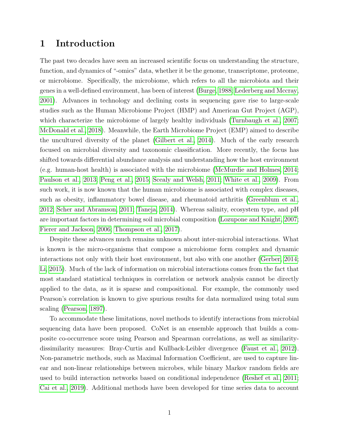## 1 Introduction

The past two decades have seen an increased scientific focus on understanding the structure, function, and dynamics of "-omics" data, whether it be the genome, transcriptome, proteome, or microbiome. Specifically, the microbiome, which refers to all the microbiota and their genes in a well-defined environment, has been of interest [\(Burge, 1988;](#page-15-0) [Lederberg and Mccray,](#page-17-0) [2001\)](#page-17-0). Advances in technology and declining costs in sequencing gave rise to large-scale studies such as the Human Microbiome Project (HMP) and American Gut Project (AGP), which characterize the microbiome of largely healthy individuals [\(Turnbaugh et al., 2007;](#page-18-0) [McDonald et al., 2018\)](#page-17-1). Meanwhile, the Earth Microbiome Project (EMP) aimed to describe the uncultured diversity of the planet [\(Gilbert et al., 2014\)](#page-16-0). Much of the early research focused on microbial diversity and taxonomic classification. More recently, the focus has shifted towards differential abundance analysis and understanding how the host environment (e.g. human-host health) is associated with the microbiome [\(McMurdie and Holmes, 2014;](#page-17-2) [Paulson et al., 2013;](#page-17-3) [Peng et al., 2015;](#page-17-4) [Scealy and Welsh, 2011;](#page-17-5) [White et al., 2009\)](#page-18-1). From such work, it is now known that the human microbiome is associated with complex diseases, such as obesity, inflammatory bowel disease, and rheumatoid arthritis [\(Greenblum et al.,](#page-16-1) [2012;](#page-16-1) [Scher and Abramson, 2011;](#page-17-6) [Taneja, 2014\)](#page-18-2). Whereas salinity, ecosystem type, and pH are important factors in determining soil microbial composition [\(Lozupone and Knight, 2007;](#page-17-7) [Fierer and Jackson, 2006;](#page-16-2) [Thompson et al., 2017\)](#page-18-3).

Despite these advances much remains unknown about inter-microbial interactions. What is known is the micro-organisms that compose a microbiome form complex and dynamic interactions not only with their host environment, but also with one another [\(Gerber, 2014;](#page-16-3) [Li, 2015\)](#page-17-8). Much of the lack of information on microbial interactions comes from the fact that most standard statistical techniques in correlation or network analysis cannot be directly applied to the data, as it is sparse and compositional. For example, the commonly used Pearson's correlation is known to give spurious results for data normalized using total sum scaling [\(Pearson, 1897\)](#page-17-9).

To accommodate these limitations, novel methods to identify interactions from microbial sequencing data have been proposed. CoNet is an ensemble approach that builds a composite co-occurrence score using Pearson and Spearman correlations, as well as similaritydissimilarity measures: Bray-Curtis and Kullback-Leibler divergence [\(Faust et al., 2012\)](#page-16-4). Non-parametric methods, such as Maximal Information Coefficient, are used to capture linear and non-linear relationships between microbes, while binary Markov random fields are used to build interaction networks based on conditional independence [\(Reshef et al., 2011;](#page-17-10) [Cai et al., 2019\)](#page-15-1). Additional methods have been developed for time series data to account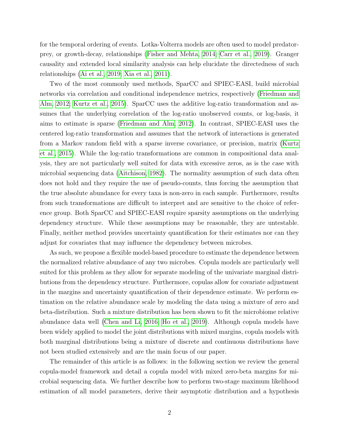for the temporal ordering of events. Lotka-Volterra models are often used to model predatorprey, or growth-decay, relationships [\(Fisher and Mehta, 2014;](#page-16-5) [Carr et al., 2019\)](#page-16-6). Granger causality and extended local similarity analysis can help elucidate the directedness of such relationships [\(Ai et al., 2019;](#page-15-2) [Xia et al., 2011\)](#page-18-4).

Two of the most commonly used methods, SparCC and SPIEC-EASI, build microbial networks via correlation and conditional independence metrics, respectively [\(Friedman and](#page-16-7) [Alm, 2012;](#page-16-7) [Kurtz et al., 2015\)](#page-16-8). SparCC uses the additive log-ratio transformation and assumes that the underlying correlation of the log-ratio unobserved counts, or log-basis, it aims to estimate is sparse [\(Friedman and Alm, 2012\)](#page-16-7). In contrast, SPIEC-EASI uses the centered log-ratio transformation and assumes that the network of interactions is generated from a Markov random field with a sparse inverse covariance, or precision, matrix [\(Kurtz](#page-16-8) [et al., 2015\)](#page-16-8). While the log-ratio transformations are common in compositional data analysis, they are not particularly well suited for data with excessive zeros, as is the case with microbial sequencing data [\(Aitchison, 1982\)](#page-15-3). The normality assumption of such data often does not hold and they require the use of pseudo-counts, thus forcing the assumption that the true absolute abundance for every taxa is non-zero in each sample. Furthermore, results from such transformations are difficult to interpret and are sensitive to the choice of reference group. Both SparCC and SPIEC-EASI require sparsity assumptions on the underlying dependency structure. While these assumptions may be reasonable, they are untestable. Finally, neither method provides uncertainty quantification for their estimates nor can they adjust for covariates that may influence the dependency between microbes.

As such, we propose a flexible model-based procedure to estimate the dependence between the normalized relative abundance of any two microbes. Copula models are particularly well suited for this problem as they allow for separate modeling of the univariate marginal distributions from the dependency structure. Furthermore, copulas allow for covariate adjustment in the margins and uncertainty quantification of their dependence estimate. We perform estimation on the relative abundance scale by modeling the data using a mixture of zero and beta-distribution. Such a mixture distribution has been shown to fit the microbiome relative abundance data well [\(Chen and Li, 2016;](#page-16-9) [Ho et al., 2019\)](#page-16-10). Although copula models have been widely applied to model the joint distributions with mixed margins, copula models with both marginal distributions being a mixture of discrete and continuous distributions have not been studied extensively and are the main focus of our paper.

The remainder of this article is as follows: in the following section we review the general copula-model framework and detail a copula model with mixed zero-beta margins for microbial sequencing data. We further describe how to perform two-stage maximum likelihood estimation of all model parameters, derive their asymptotic distribution and a hypothesis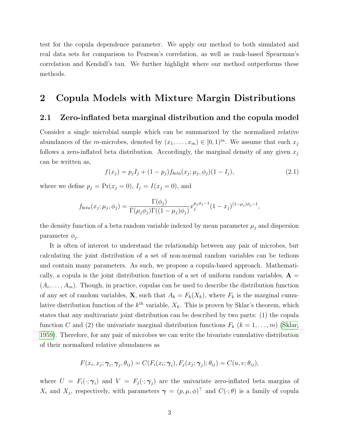test for the copula dependence parameter. We apply our method to both simulated and real data sets for comparison to Pearson's correlation, as well as rank-based Spearman's correlation and Kendall's tau. We further highlight where our method outperforms these methods.

### 2 Copula Models with Mixture Margin Distributions

#### 2.1 Zero-inflated beta marginal distribution and the copula model

Consider a single microbial sample which can be summarized by the normalized relative abundances of the *m*-microbes, denoted by  $(x_1, \ldots, x_m) \in [0, 1)^m$ . We assume that each  $x_j$ follows a zero-inflated beta distribution. Accordingly, the marginal density of any given  $x_i$ can be written as,

$$
f(x_j) = p_j I_j + (1 - p_j) f_{beta}(x_j; \mu_j, \phi_j) (1 - I_j),
$$
\n(2.1)

where we define  $p_j = \Pr(x_j = 0), I_j = I(x_j = 0)$ , and

$$
f_{beta}(x_j; \mu_j, \phi_j) = \frac{\Gamma(\phi_j)}{\Gamma(\mu_j \phi_j) \Gamma((1 - \mu_j) \phi_j)} x_j^{\mu_j \phi_j - 1} (1 - x_j)^{(1 - \mu_j) \phi_j - 1},
$$

the density function of a beta random variable indexed by mean parameter  $\mu_j$  and dispersion parameter  $\phi_j$ .

It is often of interest to understand the relationship between any pair of microbes, but calculating the joint distribution of a set of non-normal random variables can be tedious and contain many parameters. As such, we propose a copula-based approach. Mathematically, a copula is the joint distribution function of a set of uniform random variables,  $\mathbf{A} =$  $(A_i, \ldots, A_m)$ . Though, in practice, copulas can be used to describe the distribution function of any set of random variables, **X**, such that  $A_k = F_k(X_k)$ , where  $F_k$  is the marginal cumulative distribution function of the  $k^{th}$  variable,  $X_k$ . This is proven by Sklar's theorem, which states that any multivariate joint distribution can be described by two parts: (1) the copula function C and (2) the univariate marginal distribution functions  $F_k$  ( $k = 1, \ldots, m$ ) [\(Sklar,](#page-17-11) [1959\)](#page-17-11). Therefore, for any pair of microbes we can write the bivariate cumulative distribution of their normalized relative abundances as

$$
F(x_i, x_j; \boldsymbol{\gamma}_i, \boldsymbol{\gamma}_j, \theta_{ij}) = C(F_i(x_i; \boldsymbol{\gamma}_i), F_j(x_j; \boldsymbol{\gamma}_j); \theta_{ij}) = C(u, v; \theta_{ij}),
$$

where  $U = F_i(\cdot; \gamma_i)$  and  $V = F_j(\cdot; \gamma_j)$  are the univariate zero-inflated beta margins of  $X_i$  and  $X_j$ , respectively, with parameters  $\boldsymbol{\gamma} = (p,\mu,\phi)^\top$  and  $C(\cdot;\theta)$  is a family of copula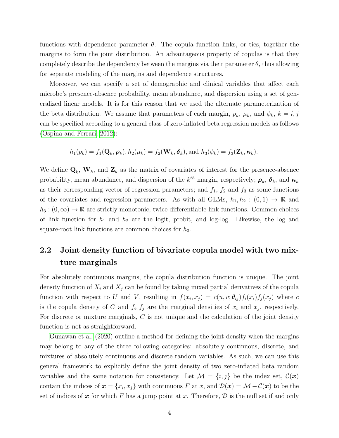functions with dependence parameter  $\theta$ . The copula function links, or ties, together the margins to form the joint distribution. An advantageous property of copulas is that they completely describe the dependency between the margins via their parameter  $\theta$ , thus allowing for separate modeling of the margins and dependence structures.

Moreover, we can specify a set of demographic and clinical variables that affect each microbe's presence-absence probability, mean abundance, and dispersion using a set of generalized linear models. It is for this reason that we used the alternate parameterization of the beta distribution. We assume that parameters of each margin,  $p_k$ ,  $\mu_k$ , and  $\phi_k$ ,  $k = i, j$ can be specified according to a general class of zero-inflated beta regression models as follows [\(Ospina and Ferrari, 2012\)](#page-17-12):

$$
h_1(p_k) = f_1(\mathbf{Q}_k, \boldsymbol{\rho}_k), h_2(\mu_k) = f_2(\mathbf{W}_k, \boldsymbol{\delta}_k), \text{and } h_3(\phi_k) = f_3(\mathbf{Z}_k, \boldsymbol{\kappa}_k).
$$

We define  $\mathbf{Q}_k$ ,  $\mathbf{W}_k$ , and  $\mathbf{Z}_k$  as the matrix of covariates of interest for the presence-absence probability, mean abundance, and dispersion of the  $k^{th}$  margin, respectively;  $\rho_k$ ,  $\delta_k$ , and  $\kappa_k$ as their corresponding vector of regression parameters; and  $f_1$ ,  $f_2$  and  $f_3$  as some functions of the covariates and regression parameters. As with all GLMs,  $h_1, h_2 : (0,1) \to \mathbb{R}$  and  $h_3 : (0, \infty) \to \mathbb{R}$  are strictly monotonic, twice differentiable link functions. Common choices of link function for  $h_1$  and  $h_2$  are the logit, probit, and log-log. Likewise, the log and square-root link functions are common choices for  $h_3$ .

# 2.2 Joint density function of bivariate copula model with two mixture marginals

For absolutely continuous margins, the copula distribution function is unique. The joint density function of  $X_i$  and  $X_j$  can be found by taking mixed partial derivatives of the copula function with respect to U and V, resulting in  $f(x_i, x_j) = c(u, v; \theta_{ij}) f_i(x_i) f_j(x_j)$  where c is the copula density of C and  $f_i, f_j$  are the marginal densities of  $x_i$  and  $x_j$ , respectively. For discrete or mixture marginals, C is not unique and the calculation of the joint density function is not as straightforward.

[Gunawan et al. \(2020\)](#page-16-11) outline a method for defining the joint density when the margins may belong to any of the three following categories: absolutely continuous, discrete, and mixtures of absolutely continuous and discrete random variables. As such, we can use this general framework to explicitly define the joint density of two zero-inflated beta random variables and the same notation for consistency. Let  $\mathcal{M} = \{i, j\}$  be the index set,  $\mathcal{C}(\bm{x})$ contain the indices of  $x = \{x_i, x_j\}$  with continuous F at x, and  $\mathcal{D}(x) = \mathcal{M} - \mathcal{C}(x)$  to be the set of indices of x for which F has a jump point at x. Therefore,  $\mathcal D$  is the null set if and only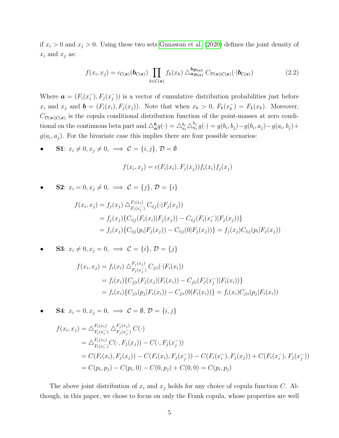if  $x_i > 0$  and  $x_j > 0$ . Using these two sets [Gunawan et al. \(2020\)](#page-16-11) defines the joint density of  $x_i$  and  $x_j$  as:

$$
f(x_i, x_j) = c_{\mathcal{C}(\mathbf{x})}(\mathbf{b}_{\mathcal{C}(\mathbf{x})}) \prod_{k \in \mathcal{C}(\mathbf{x})} f_k(x_k) \bigtriangleup_{\mathbf{a}_{\mathcal{D}(\mathbf{x})}}^{\mathbf{b}_{\mathcal{D}(\mathbf{x})}} C_{\mathcal{D}(\mathbf{x})|\mathcal{C}(\mathbf{x})}(\cdot | \mathbf{b}_{\mathcal{C}(\mathbf{x})})
$$
(2.2)

Where  $\boldsymbol{a} = (F_i(x_i))$  $\binom{-}{i}, F_j(x_j^-)$  $\binom{-}{j}$ ) is a vector of cumulative distribution probabilities just before  $x_i$  and  $x_j$  and  $\boldsymbol{b} = (F_i(x_i), F_j(x_j))$ . Note that when  $x_k > 0$ ,  $F_k(x_k^-)$  $\binom{-}{k} = F_k(x_k)$ . Moreover,  $C_{\mathcal{D}(x)|\mathcal{C}(x)}$  is the copula conditional distribution function of the point-masses at zero conditional on the continuous beta part and  $\triangle_{a}^{b} g(\cdot) = \triangle_{a_i}^{b_i} \triangle_{a_j}^{b_j} g(\cdot) = g(b_i, b_j) - g(b_i, a_j) - g(a_i, b_j) +$  $g(a_i, a_j)$ . For the bivariate case this implies there are four possible scenarios:

**S1**:  $x_i \neq 0, x_j \neq 0, \implies \mathcal{C} = \{i, j\}, \mathcal{D} = \emptyset$ 

$$
f(x_i, x_j) = c(F_i(x_i), F_j(x_j))f_i(x_i)f_j(x_j)
$$

**S2**:  $x_i = 0, x_j \neq 0, \implies \mathcal{C} = \{j\}, \mathcal{D} = \{i\}$ 

$$
f(x_i, x_j) = f_j(x_j) \triangle_{F_i(x_i^-)}^{F_i(x_i)} C_{i|j}(\cdot | F_j(x_j))
$$
  
=  $f_j(x_j) \{ C_{i|j}(F_i(x_i) | F_j(x_j)) - C_{i|j}(F_i(x_i^-) | F_j(x_j)) \}$   
=  $f_j(x_j) \{ C_{i|j}(p_i | F_j(x_j)) - C_{i|j}(0 | F_j(x_j)) \} = f_j(x_j) C_{i|j}(p_i | F_j(x_j))$ 

**S3**:  $x_i \neq 0, x_j = 0, \implies \mathcal{C} = \{i\}, \mathcal{D} = \{j\}$ 

$$
f(x_i, x_j) = f_i(x_i) \triangle_{F_j(x_j^-)}^{F_j(x_j)} C_{j|i}(\cdot | F_i(x_i))
$$
  
=  $f_i(x_i) \{ C_{j|i} (F_j(x_j) | F_i(x_i)) - C_{j|i} (F_j(x_j^-) | F_i(x_i)) \}$   
=  $f_i(x_i) \{ C_{j|i} (p_j | F_i(x_i)) - C_{j|i} (0 | F_i(x_i)) \} = f_i(x_i) C_{j|i} (p_j | F_i(x_i))$ 

**S4**:  $x_i = 0, x_j = 0, \implies \mathcal{C} = \emptyset, \mathcal{D} = \{i, j\}$ 

$$
f(x_i, x_j) = \Delta_{F_i(x_i)}^{F_i(x_i)} \Delta_{F_j(x_j)}^{F_j(x_j)} C(\cdot)
$$
  
\n
$$
= \Delta_{F_i(x_i)}^{F_i(x_i)} C(\cdot, F_j(x_j)) - C(\cdot, F_j(x_j))
$$
  
\n
$$
= C(F_i(x_i), F_j(x_j)) - C(F_i(x_i), F_j(x_j)) - C(F_i(x_i), F_j(x_j)) + C(F_i(x_i), F_j(x_j))
$$
  
\n
$$
= C(p_i, p_j) - C(p_i, 0) - C(0, p_j) + C(0, 0) = C(p_i, p_j)
$$

The above joint distribution of  $x_i$  and  $x_j$  holds for any choice of copula function C. Although, in this paper, we chose to focus on only the Frank copula, whose properties are well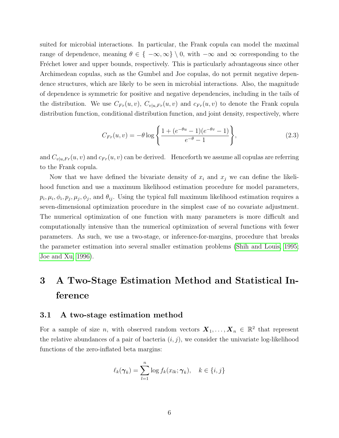suited for microbial interactions. In particular, the Frank copula can model the maximal range of dependence, meaning  $\theta \in \{-\infty, \infty\} \setminus 0$ , with  $-\infty$  and  $\infty$  corresponding to the Fréchet lower and upper bounds, respectively. This is particularly advantageous since other Archimedean copulas, such as the Gumbel and Joe copulas, do not permit negative dependence structures, which are likely to be seen in microbial interactions. Also, the magnitude of dependence is symmetric for positive and negative dependencies, including in the tails of the distribution. We use  $C_{Fr}(u, v)$ ,  $C_{v|u, Fr}(u, v)$  and  $c_{Fr}(u, v)$  to denote the Frank copula distribution function, conditional distribution function, and joint density, respectively, where

$$
C_{Fr}(u,v) = -\theta \log \left\{ \frac{1 + (e^{-\theta u} - 1)(e^{-\theta v} - 1)}{e^{-\theta} - 1} \right\},\tag{2.3}
$$

and  $C_{v|u,Fr}(u, v)$  and  $c_{Fr}(u, v)$  can be derived. Henceforth we assume all copulas are referring to the Frank copula.

Now that we have defined the bivariate density of  $x_i$  and  $x_j$  we can define the likelihood function and use a maximum likelihood estimation procedure for model parameters,  $p_i, \mu_i, \phi_i, p_j, \mu_j, \phi_j$ , and  $\theta_{ij}$ . Using the typical full maximum likelihood estimation requires a seven-dimensional optimization procedure in the simplest case of no covariate adjustment. The numerical optimization of one function with many parameters is more difficult and computationally intensive than the numerical optimization of several functions with fewer parameters. As such, we use a two-stage, or inference-for-margins, procedure that breaks the parameter estimation into several smaller estimation problems [\(Shih and Louis, 1995;](#page-17-13) [Joe and Xu, 1996\)](#page-16-12).

# 3 A Two-Stage Estimation Method and Statistical Inference

#### 3.1 A two-stage estimation method

For a sample of size n, with observed random vectors  $\mathbf{X}_1, \ldots, \mathbf{X}_n \in \mathbb{R}^2$  that represent the relative abundances of a pair of bacteria  $(i, j)$ , we consider the univariate log-likelihood functions of the zero-inflated beta margins:

$$
\ell_k(\boldsymbol{\gamma}_k) = \sum_{l=1}^n \log f_k(x_{lk}; \boldsymbol{\gamma}_k), \quad k \in \{i, j\}
$$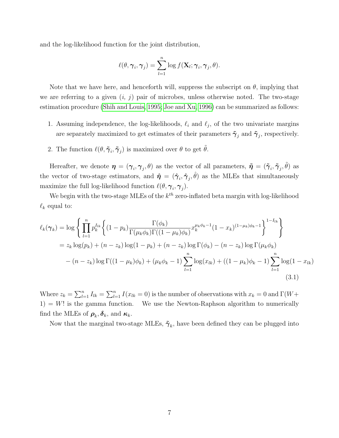and the log-likelihood function for the joint distribution,

$$
\ell(\theta, \boldsymbol{\gamma}_i, \boldsymbol{\gamma}_j) = \sum_{l=1}^n \log f(\mathbf{X}_l; \boldsymbol{\gamma}_i, \boldsymbol{\gamma}_j, \theta).
$$

Note that we have here, and henceforth will, suppress the subscript on  $\theta$ , implying that we are referring to a given  $(i, j)$  pair of microbes, unless otherwise noted. The two-stage estimation procedure [\(Shih and Louis, 1995;](#page-17-13) [Joe and Xu, 1996\)](#page-16-12) can be summarized as follows:

- 1. Assuming independence, the log-likelihoods,  $\ell_i$  and  $\ell_j$ , of the two univariate margins are separately maximized to get estimates of their parameters  $\tilde{\gamma}_j$  and  $\tilde{\gamma}_j$ , respectively.
- 2. The function  $\ell(\theta, \tilde{\boldsymbol{\gamma}}_i, \tilde{\boldsymbol{\gamma}}_j)$  is maximized over  $\theta$  to get  $\tilde{\theta}$ .

Hereafter, we denote  $\bm{\eta} = (\bm{\gamma}_i, \bm{\gamma}_j, \theta)$  as the vector of all parameters,  $\bm{\tilde{\eta}} = (\bm{\tilde{\gamma}}_i, \bm{\tilde{\gamma}}_j, \tilde{\theta})$  as the vector of two-stage estimators, and  $\hat{\eta} = (\hat{\gamma}_i, \hat{\gamma}_j, \hat{\theta})$  as the MLEs that simultaneously maximize the full log-likelihood function  $\ell(\theta, \gamma_i, \gamma_j)$ .

We begin with the two-stage MLEs of the  $k^{th}$  zero-inflated beta margin with log-likelihood  $\ell_k$  equal to:

$$
\ell_k(\gamma_k) = \log \left\{ \prod_{l=1}^n p_k^{I_{lk}} \left\{ (1 - p_k) \frac{\Gamma(\phi_k)}{\Gamma(\mu_k \phi_k) \Gamma((1 - \mu_k) \phi_k)} x_k^{\mu_k \phi_k - 1} (1 - x_k)^{(1 - \mu_k) \phi_k - 1} \right\}^{1 - I_{lk}} \right\}
$$
  
=  $z_k \log(p_k) + (n - z_k) \log(1 - p_k) + (n - z_k) \log \Gamma(\phi_k) - (n - z_k) \log \Gamma(\mu_k \phi_k)$   
 $- (n - z_k) \log \Gamma((1 - \mu_k) \phi_k) + (\mu_k \phi_k - 1) \sum_{l=1}^n \log(x_{lk}) + ((1 - \mu_k) \phi_k - 1) \sum_{l=1}^n \log(1 - x_{lk})$  (3.1)

Where  $z_k = \sum_{l=1}^n I_{lk} = \sum_{l=1}^n I(x_{lk} = 0)$  is the number of observations with  $x_k = 0$  and  $\Gamma(W +$  $1) = W!$  is the gamma function. We use the Newton-Raphson algorithm to numerically find the MLEs of  $\rho_k, \delta_k$ , and  $\kappa_k$ .

Now that the marginal two-stage MLEs,  $\tilde{\boldsymbol{\gamma}}_k$ , have been defined they can be plugged into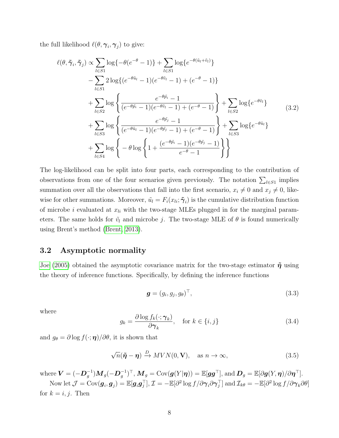the full likelihood  $\ell(\theta, \gamma_i, \gamma_j)$  to give:

$$
\ell(\theta, \tilde{\gamma}_i, \tilde{\gamma}_j) \propto \sum_{l \in S1} \log\{-\theta(e^{-\theta} - 1)\} + \sum_{l \in S1} \log\{e^{-\theta(\tilde{u}_l + \tilde{v}_l)}\}\n- \sum_{l \in S1} 2 \log\{(e^{-\theta \tilde{u}_l} - 1)(e^{-\theta \tilde{v}_l} - 1) + (e^{-\theta} - 1)\}\n+ \sum_{l \in S2} \log\left\{\frac{e^{-\theta \tilde{p}_i} - 1}{(e^{-\theta \tilde{p}_i} - 1)(e^{-\theta \tilde{v}_l} - 1) + (e^{-\theta} - 1)}\right\} + \sum_{l \in S2} \log\{e^{-\theta \tilde{v}_l}\}\n+ \sum_{l \in S3} \log\left\{\frac{e^{-\theta \tilde{p}_j} - 1}{(e^{-\theta \tilde{u}_l} - 1)(e^{-\theta \tilde{p}_j} - 1) + (e^{-\theta} - 1)}\right\} + \sum_{l \in S3} \log\{e^{-\theta \tilde{u}_l}\}\n+ \sum_{l \in S4} \log\left\{-\theta \log\left\{1 + \frac{(e^{-\theta \tilde{p}_i} - 1)(e^{-\theta \tilde{p}_j} - 1)}{e^{-\theta} - 1}\right\}\right\}
$$
\n(3.2)

The log-likelihood can be split into four parts, each corresponding to the contribution of observations from one of the four scenarios given previously. The notation  $\sum_{l\in S_1}$  implies summation over all the observations that fall into the first scenario,  $x_i \neq 0$  and  $x_j \neq 0$ , likewise for other summations. Moreover,  $\tilde{u}_l = F_i(x_{li}; \tilde{\boldsymbol{\gamma}}_i)$  is the cumulative distribution function of microbe i evaluated at  $x_{li}$  with the two-stage MLEs plugged in for the marginal parameters. The same holds for  $\tilde{v}_l$  and microbe j. The two-stage MLE of  $\theta$  is found numerically using Brent's method [\(Brent, 2013\)](#page-15-4).

### 3.2 Asymptotic normality

[Joe \(2005\)](#page-16-13) obtained the asymptotic covariance matrix for the two-stage estimator  $\tilde{\eta}$  using the theory of inference functions. Specifically, by defining the inference functions

$$
\boldsymbol{g} = (g_i, g_j, g_\theta)^\top,\tag{3.3}
$$

where

$$
g_k = \frac{\partial \log f_k(\cdot; \gamma_k)}{\partial \gamma_k}, \quad \text{for } k \in \{i, j\}
$$
 (3.4)

and  $g_{\theta} = \partial \log f(\cdot; \eta) / \partial \theta$ , it is shown that

$$
\sqrt{n}(\tilde{\boldsymbol{\eta}} - \boldsymbol{\eta}) \xrightarrow{D} MVN(0, \mathbf{V}), \quad \text{as } n \to \infty,
$$
\n(3.5)

where  $\boldsymbol{V}= (-\boldsymbol{D}_g^{-1}) \boldsymbol{M}_g (-\boldsymbol{D}_g^{-1})^\top, \, \boldsymbol{M}_g = \text{Cov}(\boldsymbol{g}(Y \vert \boldsymbol{\eta})) = \mathbb{E}[\boldsymbol{g}\boldsymbol{g}^\top], \, \text{and} \, \boldsymbol{D}_g = \mathbb{E}[\partial \boldsymbol{g}(Y, \boldsymbol{\eta})/\partial \boldsymbol{\eta}^\top].$ 

Now let  $\mathcal{J} = \text{Cov}(\bm{g}_i, \bm{g}_j) = \mathbb{E}[\bm{g}_i \bm{g}_j^\top], \mathcal{I} = -\mathbb{E}[\partial^2 \log f/\partial \bm{\gamma}_i \partial \bm{\gamma}_j^\top] \text{ and } \mathcal{I}_{k\theta} = -\mathbb{E}[\partial^2 \log f/\partial \bm{\gamma}_k \partial \theta]$ for  $k = i, j$ . Then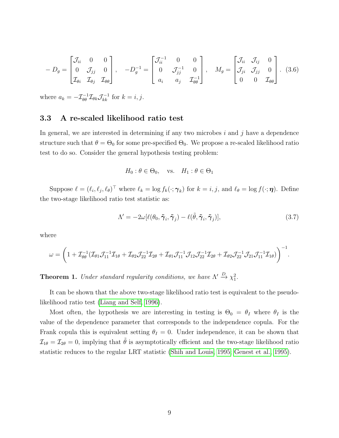$$
-D_g = \begin{bmatrix} \mathcal{J}_{ii} & 0 & 0 \\ 0 & \mathcal{J}_{jj} & 0 \\ \mathcal{I}_{\theta i} & \mathcal{I}_{\theta j} & \mathcal{I}_{\theta \theta} \end{bmatrix}, \quad -D_g^{-1} = \begin{bmatrix} \mathcal{J}_{ii}^{-1} & 0 & 0 \\ 0 & \mathcal{J}_{jj}^{-1} & 0 \\ a_i & a_j & \mathcal{I}_{\theta \theta} \end{bmatrix}, \quad M_g = \begin{bmatrix} \mathcal{J}_{ii} & \mathcal{J}_{ij} & 0 \\ \mathcal{J}_{ji} & \mathcal{J}_{jj} & 0 \\ 0 & 0 & \mathcal{I}_{\theta \theta} \end{bmatrix}. \tag{3.6}
$$

where  $a_k = -\mathcal{I}_{\theta\theta}^{-1}\mathcal{I}_{\theta k}\mathcal{J}_{kk}^{-1}$  for  $k = i, j$ .

### 3.3 A re-scaled likelihood ratio test

In general, we are interested in determining if any two microbes  $i$  and  $j$  have a dependence structure such that  $\theta = \Theta_0$  for some pre-specified  $\Theta_0$ . We propose a re-scaled likelihood ratio test to do so. Consider the general hypothesis testing problem:

$$
H_0: \theta \in \Theta_0
$$
, vs.  $H_1: \theta \in \Theta_1$ 

Suppose  $\ell = (\ell_i, \ell_j, \ell_\theta)^\top$  where  $\ell_k = \log f_k(\cdot; \boldsymbol{\gamma}_k)$  for  $k = i, j$ , and  $\ell_\theta = \log f(\cdot; \boldsymbol{\eta})$ . Define the two-stage likelihood ratio test statistic as:

$$
\Lambda' = -2\omega[\ell(\theta_0, \tilde{\boldsymbol{\gamma}}_i, \tilde{\boldsymbol{\gamma}}_j) - \ell(\tilde{\theta}, \tilde{\boldsymbol{\gamma}}_i, \tilde{\boldsymbol{\gamma}}_j)],\tag{3.7}
$$

where

$$
\omega=\bigg(1+\mathcal{I}_{\theta\theta}^{-1}(\mathcal{I}_{\theta 1}\mathcal{J}_{11}^{-1}\mathcal{I}_{1\theta}+\mathcal{I}_{\theta 2}\mathcal{J}_{22}^{-1}\mathcal{I}_{2\theta}+\mathcal{I}_{\theta 1}\mathcal{J}_{11}^{-1}\mathcal{J}_{12}\mathcal{J}_{22}^{-1}\mathcal{I}_{2\theta}+\mathcal{I}_{\theta 2}\mathcal{J}_{22}^{-1}\mathcal{J}_{21}\mathcal{J}_{11}^{-1}\mathcal{I}_{1\theta})\bigg)^{-1}.
$$

**Theorem 1.** Under standard regularity conditions, we have  $\Lambda' \stackrel{D}{\to} \chi_1^2$ .

It can be shown that the above two-stage likelihood ratio test is equivalent to the pseudolikelihood ratio test [\(Liang and Self, 1996\)](#page-17-14).

Most often, the hypothesis we are interesting in testing is  $\Theta_0 = \theta_I$  where  $\theta_I$  is the value of the dependence parameter that corresponds to the independence copula. For the Frank copula this is equivalent setting  $\theta_I = 0$ . Under independence, it can be shown that  $\mathcal{I}_{1\theta} = \mathcal{I}_{2\theta} = 0$ , implying that  $\tilde{\theta}$  is asymptotically efficient and the two-stage likelihood ratio statistic reduces to the regular LRT statistic [\(Shih and Louis, 1995;](#page-17-13) [Genest et al., 1995\)](#page-16-14).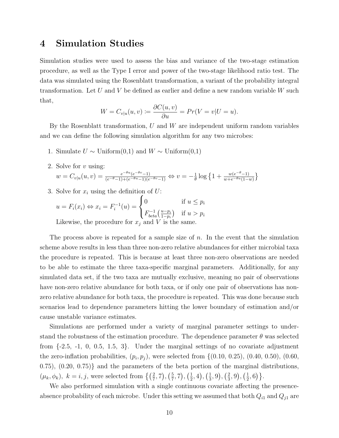# 4 Simulation Studies

Simulation studies were used to assess the bias and variance of the two-stage estimation procedure, as well as the Type I error and power of the two-stage likelihood ratio test. The data was simulated using the Rosenblatt transformation, a variant of the probability integral transformation. Let U and V be defined as earlier and define a new random variable  $W$  such that,

$$
W = C_{v|u}(u, v) := \frac{\partial C(u, v)}{\partial u} = Pr(V = v|U = u).
$$

By the Rosenblatt transformation, U and W are independent uniform random variables and we can define the following simulation algorithm for any two microbes:

- 1. Simulate  $U \sim$  Uniform(0,1) and  $W \sim$  Uniform(0,1)
- 2. Solve for  $v$  using:

$$
w = C_{v|u}(u, v) = \frac{e^{-\theta u} (e^{-\theta v} - 1)}{(e^{-\theta} - 1) + (e^{-\theta u} - 1)(e^{-\theta v} - 1)} \Leftrightarrow v = -\frac{1}{\theta} \log \left\{ 1 + \frac{w(e^{-\theta} - 1)}{w + e^{-\theta u} (1 - w)} \right\}
$$

3. Solve for  $x_i$  using the definition of  $U$ :

$$
u = F_i(x_i) \Leftrightarrow x_i = F_i^{-1}(u) = \begin{cases} 0 & \text{if } u \le p_i \\ F_{beta}^{-1}(\frac{u - p_i}{1 - p_i}) & \text{if } u > p_i \end{cases}
$$
  
Likewise, the procedure for  $x_j$  and  $V$  is the same.

The process above is repeated for a sample size of  $n$ . In the event that the simulation scheme above results in less than three non-zero relative abundances for either microbial taxa the procedure is repeated. This is because at least three non-zero observations are needed to be able to estimate the three taxa-specific marginal parameters. Additionally, for any simulated data set, if the two taxa are mutually exclusive, meaning no pair of observations have non-zero relative abundance for both taxa, or if only one pair of observations has nonzero relative abundance for both taxa, the procedure is repeated. This was done because such scenarios lead to dependence parameters hitting the lower boundary of estimation and/or cause unstable variance estimates.

Simulations are performed under a variety of marginal parameter settings to understand the robustness of the estimation procedure. The dependence parameter  $\theta$  was selected from  $\{-2.5, -1, 0, 0.5, 1.5, 3\}$ . Under the marginal settings of no covariate adjustment the zero-inflation probabilities,  $(p_i, p_j)$ , were selected from  $\{(0.10, 0.25), (0.40, 0.50), (0.60,$ 0.75), (0.20, 0.75)} and the parameters of the beta portion of the marginal distributions,  $(\mu_k, \phi_k), k = i, j$ , were selected from  $\left\{ \left(\frac{2}{7}, 7\right), \left(\frac{5}{7}\right)\right\}$  $(\frac{5}{7}, 7), (\frac{1}{2})$  $(\frac{1}{2}, 4), (\frac{1}{3})$  $(\frac{1}{3}, 9), (\frac{2}{3})$  $(\frac{2}{3}, 9), (\frac{1}{2})$  $\frac{1}{2}, 6$  }.

We also performed simulation with a single continuous covariate affecting the presenceabsence probability of each microbe. Under this setting we assumed that both  $Q_{i1}$  and  $Q_{j1}$  are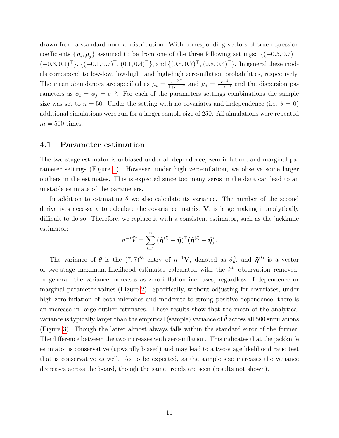drawn from a standard normal distribution. With corresponding vectors of true regression coefficients  $\{\boldsymbol{\rho}_i, \boldsymbol{\rho}_j\}$  assumed to be from one of the three following settings:  $\{(-0.5, 0.7)^\top,$  $(-0.3, 0.4)^{\top}$ ,  $\{(-0.1, 0.7)^{\top}, (0.1, 0.4)^{\top}\}$ , and  $\{(0.5, 0.7)^{\top}, (0.8, 0.4)^{\top}\}$ . In general these models correspond to low-low, low-high, and high-high zero-inflation probabilities, respectively. The mean abundances are specified as  $\mu_i = \frac{e^{-0.7}}{1+e^{-0.7}}$  and  $\mu_j = \frac{e^{-1}}{1+e^{-1}}$  and the dispersion parameters as  $\phi_i = \phi_j = e^{1.5}$ . For each of the parameters settings combinations the sample size was set to  $n = 50$ . Under the setting with no covariates and independence (i.e.  $\theta = 0$ ) additional simulations were run for a larger sample size of 250. All simulations were repeated  $m = 500$  times.

#### 4.1 Parameter estimation

The two-stage estimator is unbiased under all dependence, zero-inflation, and marginal parameter settings (Figure [1\)](#page-20-0). However, under high zero-inflation, we observe some larger outliers in the estimates. This is expected since too many zeros in the data can lead to an unstable estimate of the parameters.

In addition to estimating  $\theta$  we also calculate its variance. The number of the second derivatives necessary to calculate the covariance matrix,  $V$ , is large making it analytically difficult to do so. Therefore, we replace it with a consistent estimator, such as the jackknife estimator:

$$
n^{-1}\tilde{V} = \sum_{l=1}^n \big(\tilde{\boldsymbol{\eta}}^{(l)} - \tilde{\boldsymbol{\eta}}\big)^\top (\tilde{\boldsymbol{\eta}}^{(l)} - \tilde{\boldsymbol{\eta}}).
$$

The variance of  $\theta$  is the  $(7,7)^{th}$  entry of  $n^{-1}\tilde{V}$ , denoted as  $\hat{\sigma}_{\theta}^2$ , and  $\tilde{\eta}^{(l)}$  is a vector of two-stage maximum-likelihood estimates calculated with the  $l^{th}$  observation removed. In general, the variance increases as zero-inflation increases, regardless of dependence or marginal parameter values (Figure [2\)](#page-21-0). Specifically, without adjusting for covariates, under high zero-inflation of both microbes and moderate-to-strong positive dependence, there is an increase in large outlier estimates. These results show that the mean of the analytical variance is typically larger than the empirical (sample) variance of  $\hat{\theta}$  across all 500 simulations (Figure [3\)](#page-22-0). Though the latter almost always falls within the standard error of the former. The difference between the two increases with zero-inflation. This indicates that the jackknife estimator is conservative (upwardly biased) and may lead to a two-stage likelihood ratio test that is conservative as well. As to be expected, as the sample size increases the variance decreases across the board, though the same trends are seen (results not shown).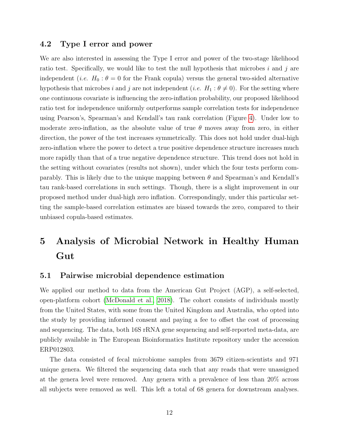### 4.2 Type I error and power

We are also interested in assessing the Type I error and power of the two-stage likelihood ratio test. Specifically, we would like to test the null hypothesis that microbes i and j are independent (*i.e.*  $H_0: \theta = 0$  for the Frank copula) versus the general two-sided alternative hypothesis that microbes i and j are not independent (i.e.  $H_1 : \theta \neq 0$ ). For the setting where one continuous covariate is influencing the zero-inflation probability, our proposed likelihood ratio test for independence uniformly outperforms sample correlation tests for independence using Pearson's, Spearman's and Kendall's tau rank correlation (Figure [4\)](#page-23-0). Under low to moderate zero-inflation, as the absolute value of true  $\theta$  moves away from zero, in either direction, the power of the test increases symmetrically. This does not hold under dual-high zero-inflation where the power to detect a true positive dependence structure increases much more rapidly than that of a true negative dependence structure. This trend does not hold in the setting without covariates (results not shown), under which the four tests perform comparably. This is likely due to the unique mapping between  $\theta$  and Spearman's and Kendall's tau rank-based correlations in such settings. Though, there is a slight improvement in our proposed method under dual-high zero inflation. Correspondingly, under this particular setting the sample-based correlation estimates are biased towards the zero, compared to their unbiased copula-based estimates.

# 5 Analysis of Microbial Network in Healthy Human Gut

#### 5.1 Pairwise microbial dependence estimation

We applied our method to data from the American Gut Project (AGP), a self-selected, open-platform cohort [\(McDonald et al., 2018\)](#page-17-1). The cohort consists of individuals mostly from the United States, with some from the United Kingdom and Australia, who opted into the study by providing informed consent and paying a fee to offset the cost of processing and sequencing. The data, both 16S rRNA gene sequencing and self-reported meta-data, are publicly available in The European Bioinformatics Institute repository under the accession ERP012803.

The data consisted of fecal microbiome samples from 3679 citizen-scientists and 971 unique genera. We filtered the sequencing data such that any reads that were unassigned at the genera level were removed. Any genera with a prevalence of less than 20% across all subjects were removed as well. This left a total of 68 genera for downstream analyses.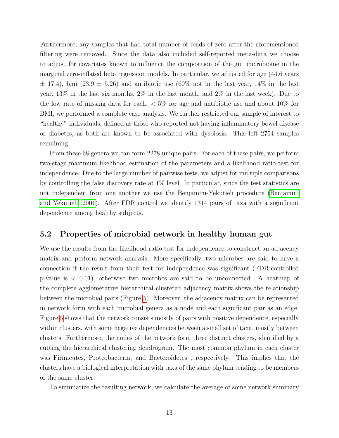Furthermore, any samples that had total number of reads of zero after the aforementioned filtering were removed. Since the data also included self-reported meta-data we choose to adjust for covariates known to influence the composition of the gut microbiome in the marginal zero-inflated beta regression models. In particular, we adjusted for age (44.6 years  $\pm$  17.4), bmi (23.9  $\pm$  5.26) and antibiotic use (69% not in the last year, 14% in the last year, 13% in the last six months, 2% in the last month, and 2% in the last week). Due to the low rate of missing data for each, < 5% for age and antibiotic use and about 10% for BMI, we performed a complete case analysis. We further restricted our sample of interest to "healthy" individuals, defined as those who reported not having inflammatory bowel disease or diabetes, as both are known to be associated with dysbiosis. This left 2754 samples remaining.

From these 68 genera we can form 2278 unique pairs. For each of these pairs, we perform two-stage maximum likelihood estimation of the parameters and a likelihood ratio test for independence. Due to the large number of pairwise tests, we adjust for multiple comparisons by controlling the false discovery rate at  $1\%$  level. In particular, since the test statistics are not independent from one another we use the Benjamini-Yekutieli procedure [\(Benjamini](#page-15-5) [and Yekutieli, 2001\)](#page-15-5). After FDR control we identify 1314 pairs of taxa with a significant dependence among healthy subjects.

### 5.2 Properties of microbial network in healthy human gut

We use the results from the likelihood ratio test for independence to construct an adjacency matrix and perform network analysis. More specifically, two microbes are said to have a connection if the result from their test for independence was significant (FDR-controlled p-value is  $\langle 0.01 \rangle$ , otherwise two microbes are said to be unconnected. A heatmap of the complete agglomerative hierarchical clustered adjacency matrix shows the relationship between the microbial pairs (Figure [5\)](#page-24-0). Moreover, the adjacency matrix can be represented in network form with each microbial genera as a node and each significant pair as an edge. Figure [5](#page-24-0) shows that the network consists mostly of pairs with positive dependence, especially within clusters, with some negative dependencies between a small set of taxa, mostly between clusters. Furthermore, the nodes of the network form three distinct clusters, identified by a cutting the hierarchical clustering dendrogram. The most common phylum in each cluster was Firmicutes, Proteobacteria, and Bacteroidetes , respectively. This implies that the clusters have a biological interpretation with taxa of the same phylum tending to be members of the same cluster.

To summarize the resulting network, we calculate the average of some network summary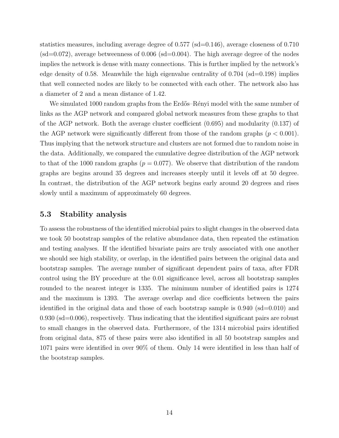statistics measures, including average degree of  $0.577$  (sd= $0.146$ ), average closeness of  $0.710$  $(sd=0.072)$ , average betweenness of 0.006  $(sd=0.004)$ . The high average degree of the nodes implies the network is dense with many connections. This is further implied by the network's edge density of 0.58. Meanwhile the high eigenvalue centrality of  $0.704$  (sd=0.198) implies that well connected nodes are likely to be connected with each other. The network also has a diameter of 2 and a mean distance of 1.42.

We simulated 1000 random graphs from the Erdős–Rényi model with the same number of links as the AGP network and compared global network measures from these graphs to that of the AGP network. Both the average cluster coefficient (0.695) and modularity (0.137) of the AGP network were significantly different from those of the random graphs  $(p < 0.001)$ . Thus implying that the network structure and clusters are not formed due to random noise in the data. Additionally, we compared the cumulative degree distribution of the AGP network to that of the 1000 random graphs ( $p = 0.077$ ). We observe that distribution of the random graphs are begins around 35 degrees and increases steeply until it levels off at 50 degree. In contrast, the distribution of the AGP network begins early around 20 degrees and rises slowly until a maximum of approximately 60 degrees.

### 5.3 Stability analysis

To assess the robustness of the identified microbial pairs to slight changes in the observed data we took 50 bootstrap samples of the relative abundance data, then repeated the estimation and testing analyses. If the identified bivariate pairs are truly associated with one another we should see high stability, or overlap, in the identified pairs between the original data and bootstrap samples. The average number of significant dependent pairs of taxa, after FDR control using the BY procedure at the 0.01 significance level, across all bootstrap samples rounded to the nearest integer is 1335. The minimum number of identified pairs is 1274 and the maximum is 1393. The average overlap and dice coefficients between the pairs identified in the original data and those of each bootstrap sample is  $0.940$  (sd=0.010) and  $0.930$  (sd=0.006), respectively. Thus indicating that the identified significant pairs are robust to small changes in the observed data. Furthermore, of the 1314 microbial pairs identified from original data, 875 of these pairs were also identified in all 50 bootstrap samples and 1071 pairs were identified in over 90% of them. Only 14 were identified in less than half of the bootstrap samples.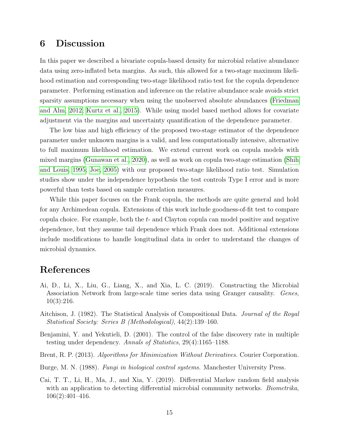# 6 Discussion

In this paper we described a bivariate copula-based density for microbial relative abundance data using zero-inflated beta margins. As such, this allowed for a two-stage maximum likelihood estimation and corresponding two-stage likelihood ratio test for the copula dependence parameter. Performing estimation and inference on the relative abundance scale avoids strict sparsity assumptions necessary when using the unobserved absolute abundances [\(Friedman](#page-16-7) [and Alm, 2012;](#page-16-7) [Kurtz et al., 2015\)](#page-16-8). While using model based method allows for covariate adjustment via the margins and uncertainty quantification of the dependence parameter.

The low bias and high efficiency of the proposed two-stage estimator of the dependence parameter under unknown margins is a valid, and less computationally intensive, alternative to full maximum likelihood estimation. We extend current work on copula models with mixed margins [\(Gunawan et al., 2020\)](#page-16-11), as well as work on copula two-stage estimation [\(Shih](#page-17-13) [and Louis, 1995;](#page-17-13) [Joe, 2005\)](#page-16-13) with our proposed two-stage likelihood ratio test. Simulation studies show under the independence hypothesis the test controls Type I error and is more powerful than tests based on sample correlation measures.

While this paper focuses on the Frank copula, the methods are quite general and hold for any Archimedean copula. Extensions of this work include goodness-of-fit test to compare copula choice. For example, both the t- and Clayton copula can model positive and negative dependence, but they assume tail dependence which Frank does not. Additional extensions include modifications to handle longitudinal data in order to understand the changes of microbial dynamics.

## References

- <span id="page-15-2"></span>Ai, D., Li, X., Liu, G., Liang, X., and Xia, L. C. (2019). Constructing the Microbial Association Network from large-scale time series data using Granger causality. Genes, 10(3):216.
- <span id="page-15-3"></span>Aitchison, J. (1982). The Statistical Analysis of Compositional Data. Journal of the Royal Statistical Society: Series B (Methodological), 44(2):139–160.
- <span id="page-15-5"></span>Benjamini, Y. and Yekutieli, D. (2001). The control of the false discovery rate in multiple testing under dependency. Annals of Statistics, 29(4):1165–1188.
- <span id="page-15-4"></span>Brent, R. P. (2013). Algorithms for Minimization Without Derivatives. Courier Corporation.
- <span id="page-15-0"></span>Burge, M. N. (1988). Fungi in biological control systems. Manchester University Press.
- <span id="page-15-1"></span>Cai, T. T., Li, H., Ma, J., and Xia, Y. (2019). Differential Markov random field analysis with an application to detecting differential microbial community networks. *Biometrika*, 106(2):401–416.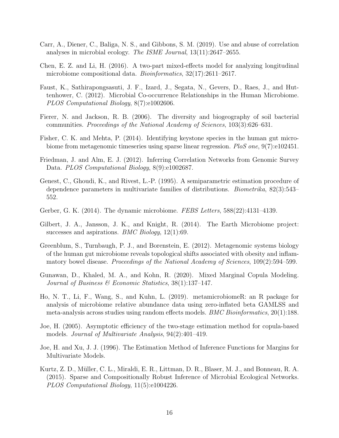- <span id="page-16-6"></span>Carr, A., Diener, C., Baliga, N. S., and Gibbons, S. M. (2019). Use and abuse of correlation analyses in microbial ecology. The ISME Journal, 13(11):2647–2655.
- <span id="page-16-9"></span>Chen, E. Z. and Li, H. (2016). A two-part mixed-effects model for analyzing longitudinal microbiome compositional data. *Bioinformatics*,  $32(17):2611-2617$ .
- <span id="page-16-4"></span>Faust, K., Sathirapongsasuti, J. F., Izard, J., Segata, N., Gevers, D., Raes, J., and Huttenhower, C. (2012). Microbial Co-occurrence Relationships in the Human Microbiome. PLOS Computational Biology, 8(7):e1002606.
- <span id="page-16-2"></span>Fierer, N. and Jackson, R. B. (2006). The diversity and biogeography of soil bacterial communities. Proceedings of the National Academy of Sciences, 103(3):626–631.
- <span id="page-16-5"></span>Fisher, C. K. and Mehta, P. (2014). Identifying keystone species in the human gut microbiome from metagenomic timeseries using sparse linear regression. PloS one, 9(7):e102451.
- <span id="page-16-7"></span>Friedman, J. and Alm, E. J. (2012). Inferring Correlation Networks from Genomic Survey Data. *PLOS Computational Biology*, 8(9):e1002687.
- <span id="page-16-14"></span>Genest, C., Ghoudi, K., and Rivest, L.-P. (1995). A semiparametric estimation procedure of dependence parameters in multivariate families of distributions. Biometrika, 82(3):543– 552.
- <span id="page-16-3"></span>Gerber, G. K. (2014). The dynamic microbiome. FEBS Letters, 588(22):4131–4139.
- <span id="page-16-0"></span>Gilbert, J. A., Jansson, J. K., and Knight, R. (2014). The Earth Microbiome project: successes and aspirations. *BMC Biology*,  $12(1):69$ .
- <span id="page-16-1"></span>Greenblum, S., Turnbaugh, P. J., and Borenstein, E. (2012). Metagenomic systems biology of the human gut microbiome reveals topological shifts associated with obesity and inflammatory bowel disease. *Proceedings of the National Academy of Sciences*, 109(2):594–599.
- <span id="page-16-11"></span>Gunawan, D., Khaled, M. A., and Kohn, R. (2020). Mixed Marginal Copula Modeling. Journal of Business & Economic Statistics, 38(1):137–147.
- <span id="page-16-10"></span>Ho, N. T., Li, F., Wang, S., and Kuhn, L. (2019). metamicrobiomeR: an R package for analysis of microbiome relative abundance data using zero-inflated beta GAMLSS and meta-analysis across studies using random effects models. BMC Bioinformatics, 20(1):188.
- <span id="page-16-13"></span>Joe, H. (2005). Asymptotic efficiency of the two-stage estimation method for copula-based models. Journal of Multivariate Analysis, 94(2):401–419.
- <span id="page-16-12"></span>Joe, H. and Xu, J. J. (1996). The Estimation Method of Inference Functions for Margins for Multivariate Models.
- <span id="page-16-8"></span>Kurtz, Z. D., Müller, C. L., Miraldi, E. R., Littman, D. R., Blaser, M. J., and Bonneau, R. A. (2015). Sparse and Compositionally Robust Inference of Microbial Ecological Networks. PLOS Computational Biology, 11(5):e1004226.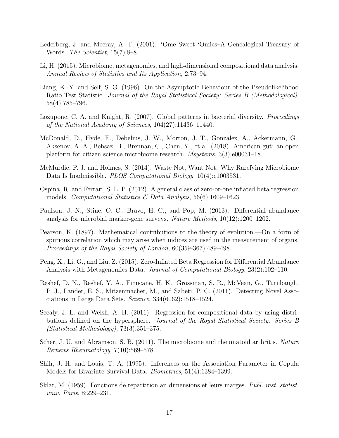- <span id="page-17-0"></span>Lederberg, J. and Mccray, A. T. (2001). 'Ome Sweet 'Omics–A Genealogical Treasury of Words. The Scientist, 15(7):8–8.
- <span id="page-17-8"></span>Li, H. (2015). Microbiome, metagenomics, and high-dimensional compositional data analysis. Annual Review of Statistics and Its Application, 2:73–94.
- <span id="page-17-14"></span>Liang, K.-Y. and Self, S. G. (1996). On the Asymptotic Behaviour of the Pseudolikelihood Ratio Test Statistic. Journal of the Royal Statistical Society: Series B (Methodological), 58(4):785–796.
- <span id="page-17-7"></span>Lozupone, C. A. and Knight, R. (2007). Global patterns in bacterial diversity. *Proceedings* of the National Academy of Sciences, 104(27):11436–11440.
- <span id="page-17-1"></span>McDonald, D., Hyde, E., Debelius, J. W., Morton, J. T., Gonzalez, A., Ackermann, G., Aksenov, A. A., Behsaz, B., Brennan, C., Chen, Y., et al. (2018). American gut: an open platform for citizen science microbiome research. Msystems, 3(3):e00031–18.
- <span id="page-17-2"></span>McMurdie, P. J. and Holmes, S. (2014). Waste Not, Want Not: Why Rarefying Microbiome Data Is Inadmissible. *PLOS Computational Biology*, 10(4):e1003531.
- <span id="page-17-12"></span>Ospina, R. and Ferrari, S. L. P. (2012). A general class of zero-or-one inflated beta regression models. Computational Statistics  $\mathcal B$  Data Analysis, 56(6):1609–1623.
- <span id="page-17-3"></span>Paulson, J. N., Stine, O. C., Bravo, H. C., and Pop, M. (2013). Differential abundance analysis for microbial marker-gene surveys. Nature Methods, 10(12):1200–1202.
- <span id="page-17-9"></span>Pearson, K. (1897). Mathematical contributions to the theory of evolution.—On a form of spurious correlation which may arise when indices are used in the measurement of organs. Proceedings of the Royal Society of London, 60(359-367):489–498.
- <span id="page-17-4"></span>Peng, X., Li, G., and Liu, Z. (2015). Zero-Inflated Beta Regression for Differential Abundance Analysis with Metagenomics Data. Journal of Computational Biology, 23(2):102–110.
- <span id="page-17-10"></span>Reshef, D. N., Reshef, Y. A., Finucane, H. K., Grossman, S. R., McVean, G., Turnbaugh, P. J., Lander, E. S., Mitzenmacher, M., and Sabeti, P. C. (2011). Detecting Novel Associations in Large Data Sets. Science, 334(6062):1518–1524.
- <span id="page-17-5"></span>Scealy, J. L. and Welsh, A. H. (2011). Regression for compositional data by using distributions defined on the hypersphere. Journal of the Royal Statistical Society: Series B (Statistical Methodology), 73(3):351–375.
- <span id="page-17-6"></span>Scher, J. U. and Abramson, S. B. (2011). The microbiome and rheumatoid arthritis. Nature Reviews Rheumatology, 7(10):569–578.
- <span id="page-17-13"></span>Shih, J. H. and Louis, T. A. (1995). Inferences on the Association Parameter in Copula Models for Bivariate Survival Data. Biometrics, 51(4):1384–1399.
- <span id="page-17-11"></span>Sklar, M. (1959). Fonctions de repartition an dimensions et leurs marges. Publ. inst. statist. univ. Paris, 8:229–231.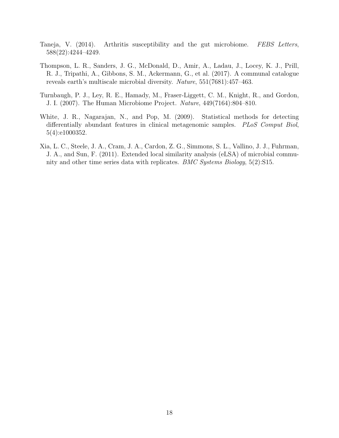- <span id="page-18-2"></span>Taneja, V. (2014). Arthritis susceptibility and the gut microbiome. FEBS Letters, 588(22):4244–4249.
- <span id="page-18-3"></span>Thompson, L. R., Sanders, J. G., McDonald, D., Amir, A., Ladau, J., Locey, K. J., Prill, R. J., Tripathi, A., Gibbons, S. M., Ackermann, G., et al. (2017). A communal catalogue reveals earth's multiscale microbial diversity. Nature, 551(7681):457–463.
- <span id="page-18-0"></span>Turnbaugh, P. J., Ley, R. E., Hamady, M., Fraser-Liggett, C. M., Knight, R., and Gordon, J. I. (2007). The Human Microbiome Project. Nature, 449(7164):804–810.
- <span id="page-18-1"></span>White, J. R., Nagarajan, N., and Pop, M. (2009). Statistical methods for detecting differentially abundant features in clinical metagenomic samples. PLoS Comput Biol, 5(4):e1000352.
- <span id="page-18-4"></span>Xia, L. C., Steele, J. A., Cram, J. A., Cardon, Z. G., Simmons, S. L., Vallino, J. J., Fuhrman, J. A., and Sun, F. (2011). Extended local similarity analysis (eLSA) of microbial community and other time series data with replicates. BMC Systems Biology, 5(2):S15.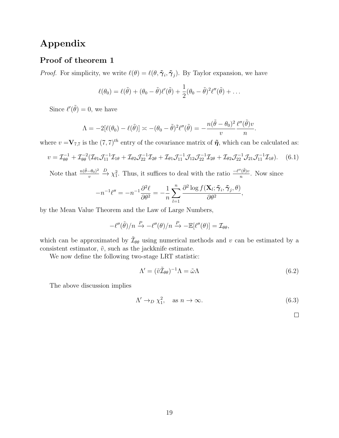# Appendix

### Proof of theorem 1

*Proof.* For simplicity, we write  $\ell(\theta) = \ell(\theta, \tilde{\gamma}_i, \tilde{\gamma}_j)$ . By Taylor expansion, we have

$$
\ell(\theta_0) = \ell(\tilde{\theta}) + (\theta_0 - \tilde{\theta})\ell'(\tilde{\theta}) + \frac{1}{2}(\theta_0 - \tilde{\theta})^2\ell''(\tilde{\theta}) + \dots
$$

Since  $\ell'(\tilde{\theta}) = 0$ , we have

$$
\Lambda = -2[\ell(\theta_0) - \ell(\tilde{\theta})] \asymp -(\theta_0 - \tilde{\theta})^2 \ell''(\tilde{\theta}) = -\frac{n(\tilde{\theta} - \theta_0)^2 \ell''(\tilde{\theta})v}{v}.
$$

where  $v = V_{7,7}$  is the  $(7,7)^{th}$  entry of the covariance matrix of  $\tilde{\eta}$ , which can be calculated as:

$$
v = \mathcal{I}_{\theta\theta}^{-1} + \mathcal{I}_{\theta\theta}^{-2} (\mathcal{I}_{\theta 1} \mathcal{J}_{11}^{-1} \mathcal{I}_{1\theta} + \mathcal{I}_{\theta 2} \mathcal{J}_{22}^{-1} \mathcal{I}_{2\theta} + \mathcal{I}_{\theta 1} \mathcal{J}_{11}^{-1} \mathcal{J}_{12} \mathcal{J}_{22}^{-1} \mathcal{I}_{2\theta} + \mathcal{I}_{\theta 2} \mathcal{J}_{22}^{-1} \mathcal{J}_{21} \mathcal{J}_{11}^{-1} \mathcal{I}_{1\theta}). \tag{6.1}
$$

Note that  $\frac{n(\tilde{\theta}-\theta_0)^2}{n}$ v  $\stackrel{D}{\rightarrow} \chi_1^2$ . Thus, it suffices to deal with the ratio  $\frac{-\ell''(\tilde{\theta})v}{n}$  $\frac{\partial (u)v}{\partial n}$ . Now since

$$
-n^{-1}\ell'' = -n^{-1}\frac{\partial^2 \ell}{\partial \theta^2} = -\frac{1}{n}\sum_{l=1}^n \frac{\partial^2 \log f(\mathbf{X}_l; \tilde{\boldsymbol{\gamma}}_i, \tilde{\boldsymbol{\gamma}}_j, \theta)}{\partial \theta^2},
$$

by the Mean Value Theorem and the Law of Large Numbers,

$$
-\ell''(\tilde{\theta})/n \xrightarrow{P} -\ell''(\theta)/n \xrightarrow{P} -\mathbb{E}[\ell''(\theta)] = \mathcal{I}_{\theta\theta},
$$

which can be approximated by  $\tilde{\mathcal{I}}_{\theta\theta}$  using numerical methods and v can be estimated by a consistent estimator,  $\tilde{v}$ , such as the jackknife estimate.

We now define the following two-stage LRT statistic:

$$
\Lambda' = (\tilde{v}\tilde{\mathcal{I}}_{\theta\theta})^{-1}\Lambda = \tilde{\omega}\Lambda \tag{6.2}
$$

The above discussion implies

$$
\Lambda' \to_D \chi_1^2, \quad \text{as } n \to \infty. \tag{6.3}
$$

 $\Box$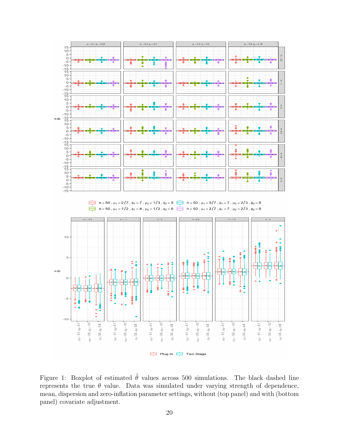

<span id="page-20-0"></span>Figure 1: Boxplot of estimated  $\tilde{\theta}$  values across 500 simulations. The black dashed line represents the true  $\theta$  value. Data was simulated under varying strength of dependence, mean, dispersion and zero-inflation parameter settings, without (top panel) and with (bottom panel) covariate adjustment.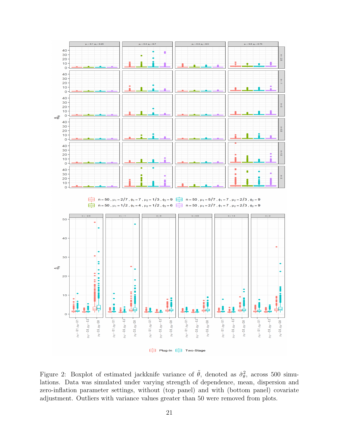

<span id="page-21-0"></span>Figure 2: Boxplot of estimated jackknife variance of  $\tilde{\theta}$ , denoted as  $\hat{\sigma}_{\theta}^2$ , across 500 simulations. Data was simulated under varying strength of dependence, mean, dispersion and zero-inflation parameter settings, without (top panel) and with (bottom panel) covariate adjustment. Outliers with variance values greater than 50 were removed from plots.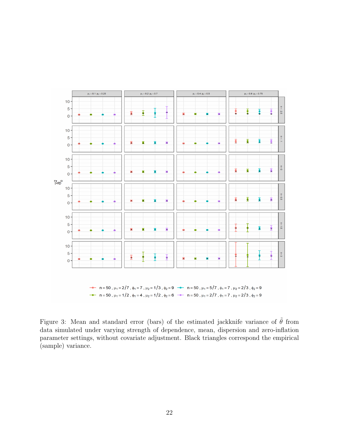

<span id="page-22-0"></span>Figure 3: Mean and standard error (bars) of the estimated jackknife variance of  $\tilde{\theta}$  from data simulated under varying strength of dependence, mean, dispersion and zero-inflation parameter settings, without covariate adjustment. Black triangles correspond the empirical (sample) variance.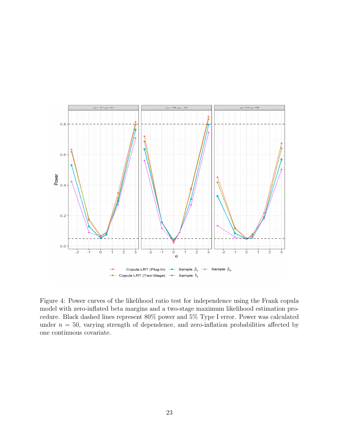

<span id="page-23-0"></span>Figure 4: Power curves of the likelihood ratio test for independence using the Frank copula model with zero-inflated beta margins and a two-stage maximum likelihood estimation procedure. Black dashed lines represent 80% power and 5% Type I error. Power was calculated under  $n = 50$ , varying strength of dependence, and zero-inflation probabilities affected by one continuous covariate.